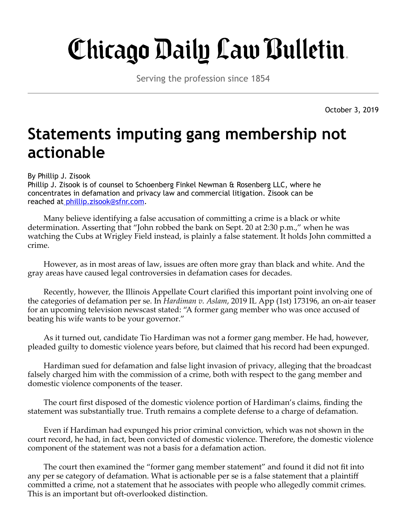## Chicago Daily Law Bulletin.

Serving the profession since 1854

October 3, 2019

## **Statements imputing gang membership not actionable**

## By Phillip J. Zisook

Phillip J. Zisook is of counsel to Schoenberg Finkel Newman & Rosenberg LLC, where he concentrates in defamation and privacy law and commercial litigation. Zisook can be reached a[t phillip.zisook@sfnr.com](mailto:phillip.zisook@sfnr.com).

Many believe identifying a false accusation of committing a crime is a black or white determination. Asserting that "John robbed the bank on Sept. 20 at 2:30 p.m.," when he was watching the Cubs at Wrigley Field instead, is plainly a false statement. It holds John committed a crime.

However, as in most areas of law, issues are often more gray than black and white. And the gray areas have caused legal controversies in defamation cases for decades.

Recently, however, the Illinois Appellate Court clarified this important point involving one of the categories of defamation per se. In *Hardiman v. Aslam*, 2019 IL App (1st) 173196, an on-air teaser for an upcoming television newscast stated: "A former gang member who was once accused of beating his wife wants to be your governor."

As it turned out, candidate Tio Hardiman was not a former gang member. He had, however, pleaded guilty to domestic violence years before, but claimed that his record had been expunged.

Hardiman sued for defamation and false light invasion of privacy, alleging that the broadcast falsely charged him with the commission of a crime, both with respect to the gang member and domestic violence components of the teaser.

The court first disposed of the domestic violence portion of Hardiman's claims, finding the statement was substantially true. Truth remains a complete defense to a charge of defamation.

Even if Hardiman had expunged his prior criminal conviction, which was not shown in the court record, he had, in fact, been convicted of domestic violence. Therefore, the domestic violence component of the statement was not a basis for a defamation action.

The court then examined the "former gang member statement" and found it did not fit into any per se category of defamation. What is actionable per se is a false statement that a plaintiff committed a crime, not a statement that he associates with people who allegedly commit crimes. This is an important but oft-overlooked distinction.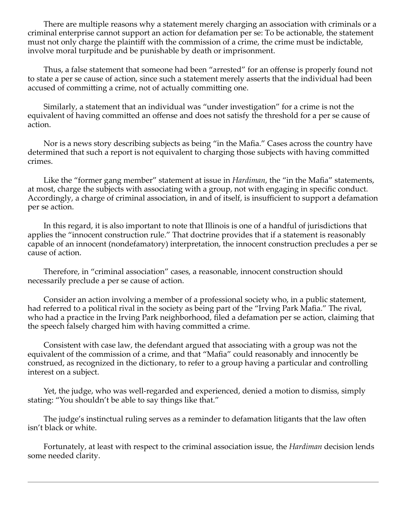There are multiple reasons why a statement merely charging an association with criminals or a criminal enterprise cannot support an action for defamation per se: To be actionable, the statement must not only charge the plaintiff with the commission of a crime, the crime must be indictable, involve moral turpitude and be punishable by death or imprisonment.

Thus, a false statement that someone had been "arrested" for an offense is properly found not to state a per se cause of action, since such a statement merely asserts that the individual had been accused of committing a crime, not of actually committing one.

Similarly, a statement that an individual was "under investigation" for a crime is not the equivalent of having committed an offense and does not satisfy the threshold for a per se cause of action.

Nor is a news story describing subjects as being "in the Mafia." Cases across the country have determined that such a report is not equivalent to charging those subjects with having committed crimes.

Like the "former gang member" statement at issue in *Hardiman*, the "in the Mafia" statements, at most, charge the subjects with associating with a group, not with engaging in specific conduct. Accordingly, a charge of criminal association, in and of itself, is insufficient to support a defamation per se action.

In this regard, it is also important to note that Illinois is one of a handful of jurisdictions that applies the "innocent construction rule." That doctrine provides that if a statement is reasonably capable of an innocent (nondefamatory) interpretation, the innocent construction precludes a per se cause of action.

Therefore, in "criminal association" cases, a reasonable, innocent construction should necessarily preclude a per se cause of action.

Consider an action involving a member of a professional society who, in a public statement, had referred to a political rival in the society as being part of the "Irving Park Mafia." The rival, who had a practice in the Irving Park neighborhood, filed a defamation per se action, claiming that the speech falsely charged him with having committed a crime.

Consistent with case law, the defendant argued that associating with a group was not the equivalent of the commission of a crime, and that "Mafia" could reasonably and innocently be construed, as recognized in the dictionary, to refer to a group having a particular and controlling interest on a subject.

Yet, the judge, who was well-regarded and experienced, denied a motion to dismiss, simply stating: "You shouldn't be able to say things like that."

The judge's instinctual ruling serves as a reminder to defamation litigants that the law often isn't black or white.

Fortunately, at least with respect to the criminal association issue, the *Hardiman* decision lends some needed clarity.